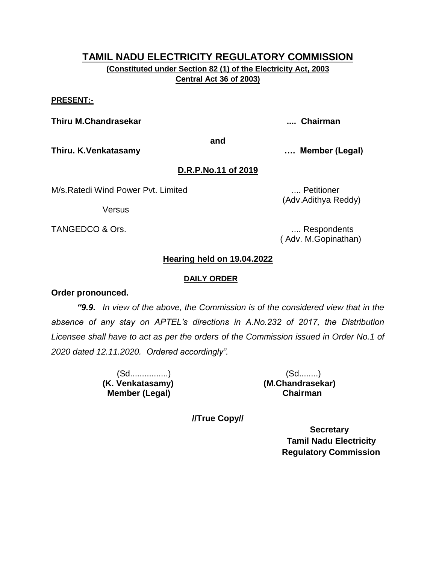**(Constituted under Section 82 (1) of the Electricity Act, 2003 Central Act 36 of 2003)**

#### **PRESENT:-**

**Thiru M.Chandrasekar .... Chairman**

**and**

**Thiru. K.Venkatasamy …. Member (Legal)**

# **D.R.P.No.11 of 2019**

M/s.Ratedi Wind Power Pvt. Limited ..... **Communist Communist Power Pvt.** Limited ..... Petitioner

**Versus** 

TANGEDCO & Ors. .... Respondents

(Adv.Adithya Reddy)

( Adv. M.Gopinathan)

# **Hearing held on 19.04.2022**

#### **DAILY ORDER**

### **Order pronounced.**

*"9.9. In view of the above, the Commission is of the considered view that in the absence of any stay on APTEL's directions in A.No.232 of 2017, the Distribution Licensee shall have to act as per the orders of the Commission issued in Order No.1 of 2020 dated 12.11.2020. Ordered accordingly".*

> **(K. Venkatasamy) (M.Chandrasekar) Member (Legal) Chairman**

(Sd................) (Sd........)

**//True Copy//**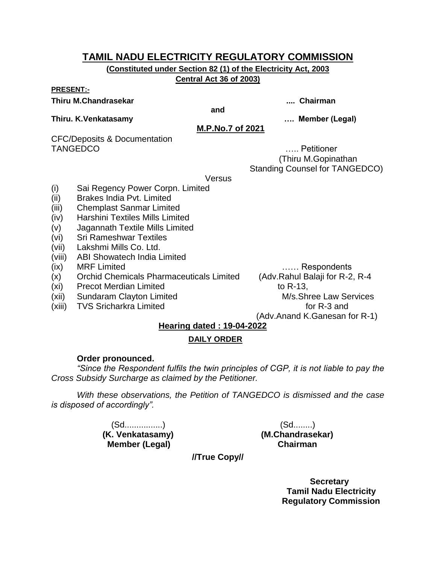**(Constituted under Section 82 (1) of the Electricity Act, 2003 Central Act 36 of 2003)**

#### **PRESENT:-**

#### **Thiru M.Chandrasekar .... Chairman**

**and**

#### **Thiru. K.Venkatasamy …. Member (Legal)**

**M.P.No.7 of 2021**

CFC/Deposits & Documentation TANGEDCO ….. Petitioner

 (Thiru M.Gopinathan Standing Counsel for TANGEDCO)

**Versus** 

- (i) Sai Regency Power Corpn. Limited
- (ii) Brakes India Pvt. Limited
- (iii) Chemplast Sanmar Limited
- (iv) Harshini Textiles Mills Limited
- (v) Jagannath Textile Mills Limited
- (vi) Sri Rameshwar Textiles
- (vii) Lakshmi Mills Co. Ltd.
- (viii) ABI Showatech India Limited
- (ix) MRF Limited …… Respondents
- (x) Orchid Chemicals Pharmaceuticals Limited (Adv.Rahul Balaji for R-2, R-4
- (xi) Precot Merdian Limited to R-13,
- (xii) Sundaram Clayton Limited M/s.Shree Law Services
- (xiii) TVS Sricharkra Limited for R-3 and

(Adv.Anand K.Ganesan for R-1)

# **Hearing dated : 19-04-2022**

# **DAILY ORDER**

### **Order pronounced.**

*"Since the Respondent fulfils the twin principles of CGP, it is not liable to pay the Cross Subsidy Surcharge as claimed by the Petitioner.* 

*With these observations, the Petition of TANGEDCO is dismissed and the case is disposed of accordingly".*

> (Sd................) (Sd........) **Member (Legal)**

**(K. Venkatasamy) (M.Chandrasekar)**

**//True Copy//**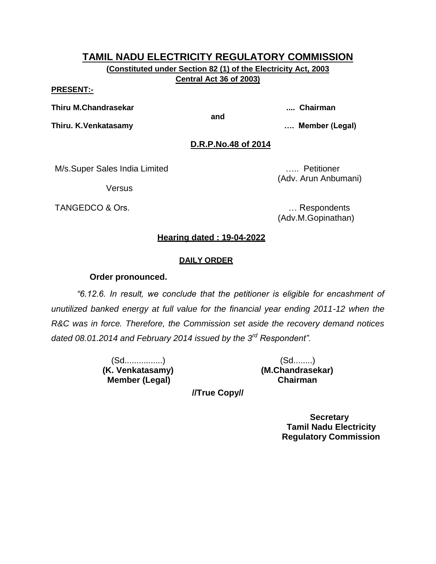**(Constituted under Section 82 (1) of the Electricity Act, 2003 Central Act 36 of 2003)**

#### **PRESENT:-**

**Thiru M.Chandrasekar .... Chairman**

**and**

**Thiru. K.Venkatasamy …. Member (Legal)**

**D.R.P.No.48 of 2014**

M/s.Super Sales India Limited ….. Petitioner

**Versus** 

TANGEDCO & Ors. **Example 20** and the contract of the contract of the contract of the contract of the contract of the contract of the contract of the contract of the contract of the contract of the contract of the contract

(Adv. Arun Anbumani)

(Adv.M.Gopinathan)

## **Hearing dated : 19-04-2022**

#### **DAILY ORDER**

#### **Order pronounced.**

*"6.12.6. In result, we conclude that the petitioner is eligible for encashment of unutilized banked energy at full value for the financial year ending 2011-12 when the R&C was in force. Therefore, the Commission set aside the recovery demand notices dated 08.01.2014 and February 2014 issued by the 3rd Respondent".*

> (Sd................) (Sd........) **(K. Venkatasamy) (M.Chandrasekar) Member (Legal) Chairman**

**//True Copy//**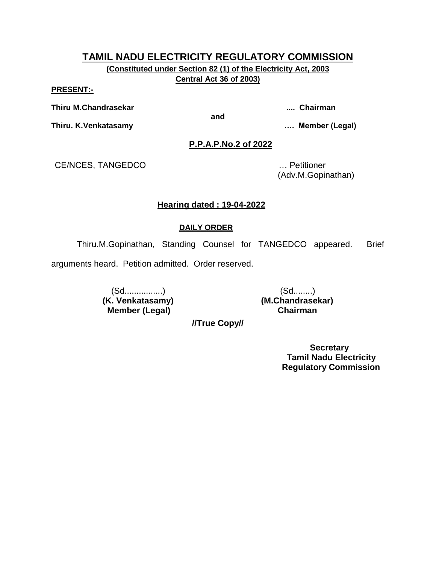**(Constituted under Section 82 (1) of the Electricity Act, 2003 Central Act 36 of 2003)**

#### **PRESENT:-**

**Thiru M.Chandrasekar .... Chairman**

**and**

**Thiru. K.Venkatasamy …. Member (Legal)**

**P.P.A.P.No.2 of 2022**

CE/NCES, TANGEDCO … Petitioner

(Adv.M.Gopinathan)

### **Hearing dated : 19-04-2022**

#### **DAILY ORDER**

Thiru.M.Gopinathan, Standing Counsel for TANGEDCO appeared. Brief

arguments heard. Petition admitted. Order reserved.

 (Sd................) (Sd........) **Member (Legal)** 

**(M. Chandrasekar)**<br>Chairman

**//True Copy//**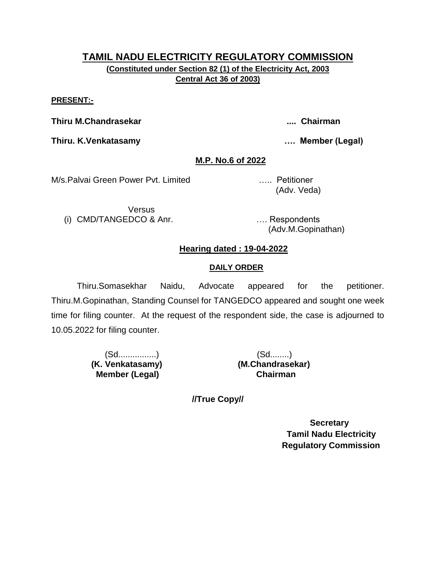#### **PRESENT:-**

**Thiru M.Chandrasekar .... Chairman**

**Thiru. K.Venkatasamy …. Member (Legal)**

# **M.P. No.6 of 2022**

M/s.Palvai Green Power Pvt. Limited ….. Petitioner

Versus (i) CMD/TANGEDCO & Anr. …. Respondents

(Adv. Veda)

(Adv.M.Gopinathan)

# **Hearing dated : 19-04-2022**

### **DAILY ORDER**

Thiru.Somasekhar Naidu, Advocate appeared for the petitioner. Thiru.M.Gopinathan, Standing Counsel for TANGEDCO appeared and sought one week time for filing counter. At the request of the respondent side, the case is adjourned to 10.05.2022 for filing counter.

> (Sd................) (Sd........)  **Member (Legal) Chairman**

 **(K. Venkatasamy) (M.Chandrasekar)**

**//True Copy//**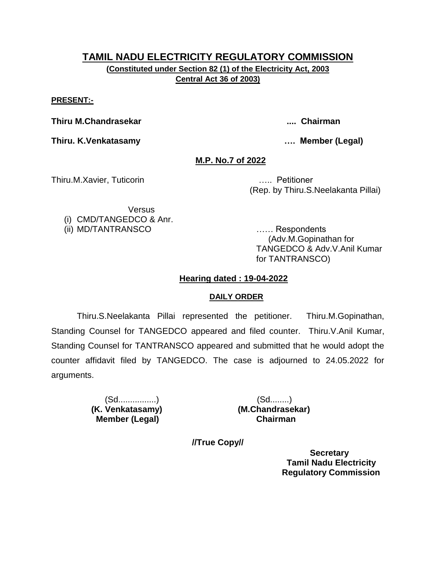**(Constituted under Section 82 (1) of the Electricity Act, 2003 Central Act 36 of 2003)**

**PRESENT:-**

**Thiru M.Chandrasekar .... Chairman**

**Thiru. K.Venkatasamy …. Member (Legal)**

**M.P. No.7 of 2022**

Thiru.M.Xavier, Tuticorin ….. Petitioner

(Rep. by Thiru.S.Neelakanta Pillai)

Versus (i) CMD/TANGEDCO & Anr. (ii) MD/TANTRANSCO …… Respondents

 (Adv.M.Gopinathan for TANGEDCO & Adv.V.Anil Kumar for TANTRANSCO)

# **Hearing dated : 19-04-2022**

# **DAILY ORDER**

Thiru.S.Neelakanta Pillai represented the petitioner. Thiru.M.Gopinathan, Standing Counsel for TANGEDCO appeared and filed counter. Thiru.V.Anil Kumar, Standing Counsel for TANTRANSCO appeared and submitted that he would adopt the counter affidavit filed by TANGEDCO. The case is adjourned to 24.05.2022 for arguments.

 **Member (Legal) Chairman**

(Sd................) (Sd........)  **(K. Venkatasamy) (M.Chandrasekar)**

**//True Copy//**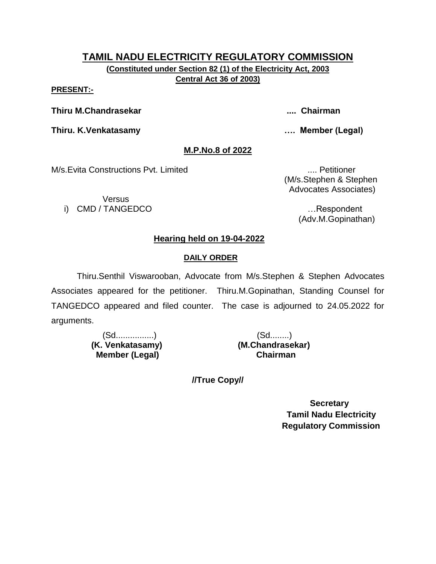**(Constituted under Section 82 (1) of the Electricity Act, 2003 Central Act 36 of 2003)**

**PRESENT:-**

**Thiru M.Chandrasekar .... Chairman**

**Thiru. K.Venkatasamy …. Member (Legal)**

# **M.P.No.8 of 2022**

M/s.Evita Constructions Pvt. Limited .... Petitioner

Versus i) CMD / TANGEDCO …Respondent

 (M/s.Stephen & Stephen Advocates Associates)

(Adv.M.Gopinathan)

# **Hearing held on 19-04-2022**

# **DAILY ORDER**

Thiru.Senthil Viswarooban, Advocate from M/s.Stephen & Stephen Advocates Associates appeared for the petitioner. Thiru.M.Gopinathan, Standing Counsel for TANGEDCO appeared and filed counter. The case is adjourned to 24.05.2022 for arguments.

> (Sd................) (Sd........)  **Member (Legal) Chairman**

 **(K. Venkatasamy) (M.Chandrasekar)**

**//True Copy//**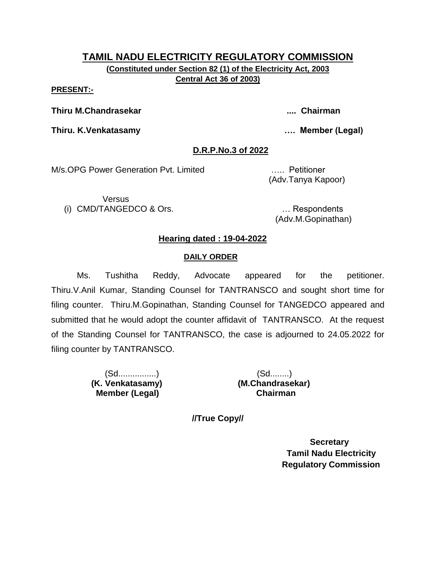**(Constituted under Section 82 (1) of the Electricity Act, 2003 Central Act 36 of 2003)**

**PRESENT:-**

**Thiru M.Chandrasekar .... Chairman**

**Thiru. K.Venkatasamy …. Member (Legal)**

# **D.R.P.No.3 of 2022**

M/s.OPG Power Generation Pvt. Limited ….. Petitioner

**Versus** (i) CMD/TANGEDCO & Ors. … Respondents

(Adv.Tanya Kapoor)

(Adv.M.Gopinathan)

# **Hearing dated : 19-04-2022**

## **DAILY ORDER**

Ms. Tushitha Reddy, Advocate appeared for the petitioner. Thiru.V.Anil Kumar, Standing Counsel for TANTRANSCO and sought short time for filing counter. Thiru.M.Gopinathan, Standing Counsel for TANGEDCO appeared and submitted that he would adopt the counter affidavit of TANTRANSCO. At the request of the Standing Counsel for TANTRANSCO, the case is adjourned to 24.05.2022 for filing counter by TANTRANSCO.

> (Sd................) (Sd........)  **(K. Venkatasamy) (M.Chandrasekar) Member (Legal) Chairman**

**//True Copy//**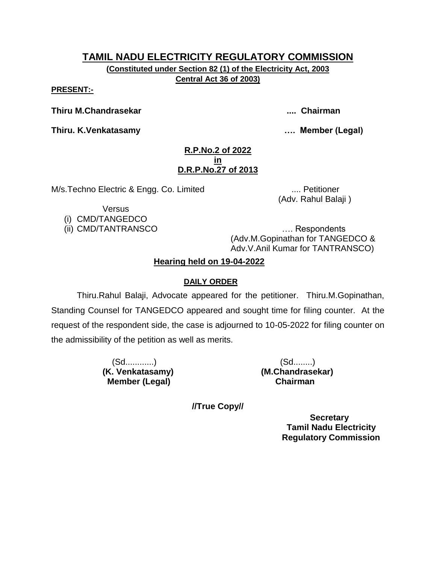**(Constituted under Section 82 (1) of the Electricity Act, 2003 Central Act 36 of 2003)**

**PRESENT:-**

**Thiru M.Chandrasekar .... Chairman**

**Thiru. K.Venkatasamy …. Member (Legal)**

## **R.P.No.2 of 2022 in D.R.P.No.27 of 2013**

M/s.Techno Electric & Engg. Co. Limited .... Petitioner

(Adv. Rahul Balaji )

**Versus** 

(i) CMD/TANGEDCO

(ii) CMD/TANTRANSCO …. Respondents (Adv.M.Gopinathan for TANGEDCO & Adv.V.Anil Kumar for TANTRANSCO)

# **Hearing held on 19-04-2022**

# **DAILY ORDER**

Thiru.Rahul Balaji, Advocate appeared for the petitioner. Thiru.M.Gopinathan, Standing Counsel for TANGEDCO appeared and sought time for filing counter. At the request of the respondent side, the case is adjourned to 10-05-2022 for filing counter on the admissibility of the petition as well as merits.

> (Sd............) (Sd........) **(K. Venkatasamy) (M.Chandrasekar) Member (Legal) Chairman**

**//True Copy//**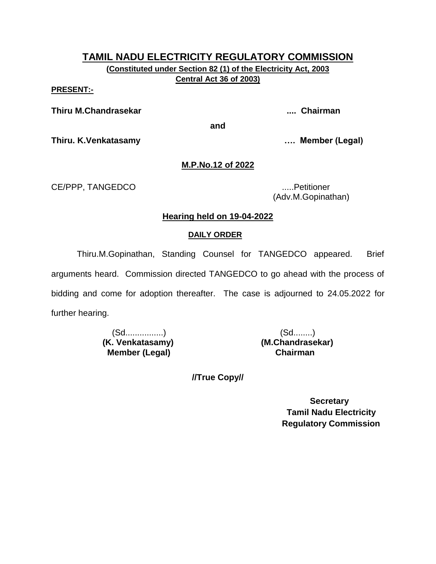**(Constituted under Section 82 (1) of the Electricity Act, 2003 Central Act 36 of 2003)**

**PRESENT:-**

**Thiru M.Chandrasekar .... Chairman**

**and**

**Thiru. K.Venkatasamy …. Member (Legal)**

# **M.P.No.12 of 2022**

CE/PPP, TANGEDCO .....Petitioner

(Adv.M.Gopinathan)

# **Hearing held on 19-04-2022**

# **DAILY ORDER**

Thiru.M.Gopinathan, Standing Counsel for TANGEDCO appeared. Brief arguments heard. Commission directed TANGEDCO to go ahead with the process of bidding and come for adoption thereafter. The case is adjourned to 24.05.2022 for further hearing.

> (Sd................) (Sd........) **(K. Venkatasamy) (M.Chandrasekar) Member (Legal) Chairman**

**//True Copy//**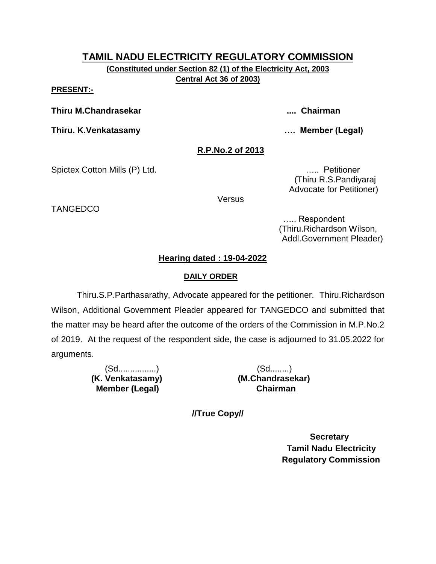**(Constituted under Section 82 (1) of the Electricity Act, 2003 Central Act 36 of 2003)**

#### **PRESENT:-**

**TANGEDCO** 

**Thiru M.Chandrasekar .... Chairman**

**Thiru. K.Venkatasamy …. Member (Legal)**

## **R.P.No.2 of 2013**

Spictex Cotton Mills (P) Ltd. **Example 20 and Contact 20 and Contact 20 and Contact 20 and Contact 20 and Contact 20 and Contact 20 and Contact 20 and Contact 20 and Contact 20 and Contact 20 and Contact 20 and Contact 20** 

 (Thiru R.S.Pandiyaraj Advocate for Petitioner)

**Versus** 

 ….. Respondent (Thiru.Richardson Wilson, Addl.Government Pleader)

# **Hearing dated : 19-04-2022**

## **DAILY ORDER**

Thiru.S.P.Parthasarathy, Advocate appeared for the petitioner. Thiru.Richardson Wilson, Additional Government Pleader appeared for TANGEDCO and submitted that the matter may be heard after the outcome of the orders of the Commission in M.P.No.2 of 2019. At the request of the respondent side, the case is adjourned to 31.05.2022 for arguments.

> (Sd................) (Sd........)  **(K. Venkatasamy) (M.Chandrasekar) Member (Legal) Chairman**

**//True Copy//**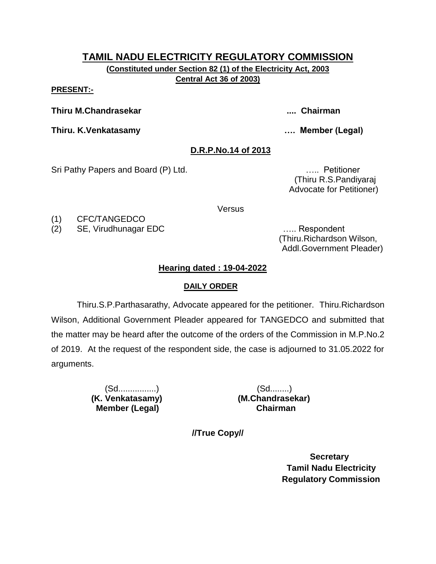**(Constituted under Section 82 (1) of the Electricity Act, 2003 Central Act 36 of 2003)**

**PRESENT:-**

**Thiru M.Chandrasekar .... Chairman**

**Thiru. K.Venkatasamy …. Member (Legal)**

# **D.R.P.No.14 of 2013**

Sri Pathy Papers and Board (P) Ltd. **Example 20** and  $\mathbb{R}$ .... Petitioner

 (Thiru R.S.Pandiyaraj Advocate for Petitioner)

**Versus** 

(1) CFC/TANGEDCO

(2) SE, Virudhunagar EDC ….. Respondent

 (Thiru.Richardson Wilson, Addl.Government Pleader)

# **Hearing dated : 19-04-2022**

# **DAILY ORDER**

Thiru.S.P.Parthasarathy, Advocate appeared for the petitioner. Thiru.Richardson Wilson, Additional Government Pleader appeared for TANGEDCO and submitted that the matter may be heard after the outcome of the orders of the Commission in M.P.No.2 of 2019. At the request of the respondent side, the case is adjourned to 31.05.2022 for arguments.

> (Sd................) (Sd........)  **Member (Legal) Chairman**

 **(K. Venkatasamy) (M.Chandrasekar)**

**//True Copy//**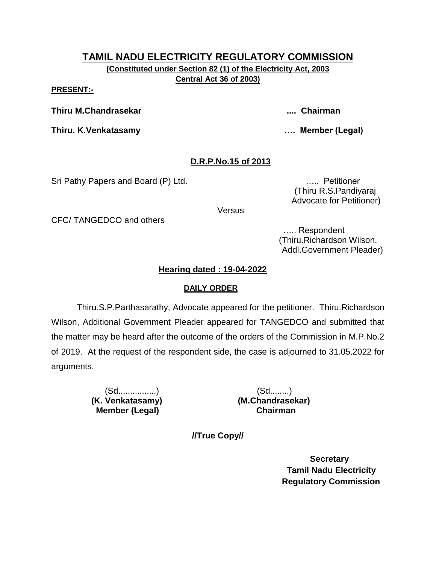**(Constituted under Section 82 (1) of the Electricity Act, 2003 Central Act 36 of 2003)**

**PRESENT:-**

**Thiru M.Chandrasekar .... Chairman**

**Thiru. K.Venkatasamy …. Member (Legal)**

# **D.R.P.No.15 of 2013**

Sri Pathy Papers and Board (P) Ltd. **Example 20** 11 22 22 23 24 25 26 27 27 28 28 29 29 20 20 20 20 20 20 20 20

 (Thiru R.S.Pandiyaraj Advocate for Petitioner)

**Versus** 

CFC/ TANGEDCO and others

 ….. Respondent (Thiru.Richardson Wilson, Addl.Government Pleader)

# **Hearing dated : 19-04-2022**

# **DAILY ORDER**

Thiru.S.P.Parthasarathy, Advocate appeared for the petitioner. Thiru.Richardson Wilson, Additional Government Pleader appeared for TANGEDCO and submitted that the matter may be heard after the outcome of the orders of the Commission in M.P.No.2 of 2019. At the request of the respondent side, the case is adjourned to 31.05.2022 for arguments.

> (Sd................) (Sd........)  **Member (Legal) Chairman**

 **(K. Venkatasamy) (M.Chandrasekar)**

**//True Copy//**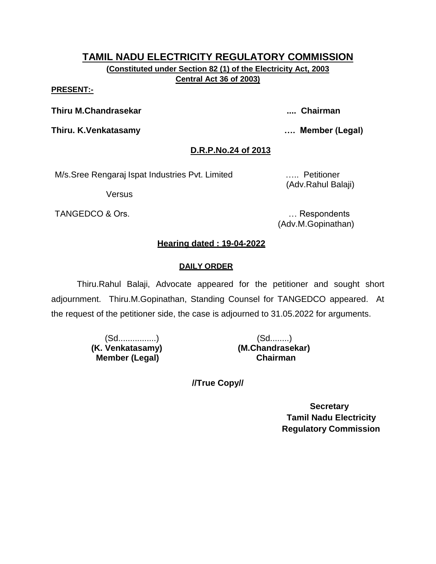**PRESENT:-**

**Thiru M.Chandrasekar .... Chairman**

**Thiru. K.Venkatasamy …. Member (Legal)**

# **D.R.P.No.24 of 2013**

M/s.Sree Rengaraj Ispat Industries Pvt. Limited ….. Petitioner

**Versus** 

TANGEDCO & Ors. **Example 20** and the contract of the contract of the contract of the contract of the contract of the contract of the contract of the contract of the contract of the contract of the contract of the contract

(Adv.Rahul Balaji)

(Adv.M.Gopinathan)

# **Hearing dated : 19-04-2022**

# **DAILY ORDER**

Thiru.Rahul Balaji, Advocate appeared for the petitioner and sought short adjournment. Thiru.M.Gopinathan, Standing Counsel for TANGEDCO appeared. At the request of the petitioner side, the case is adjourned to 31.05.2022 for arguments.

> (Sd................) (Sd........)  **(K. Venkatasamy) (M.Chandrasekar) Member (Legal) Chairman**

**//True Copy//**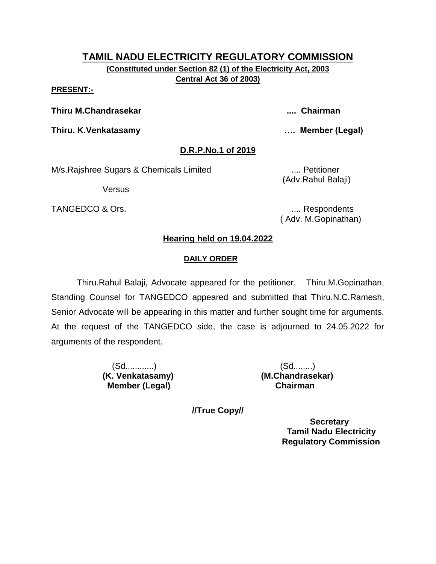#### **PRESENT:-**

**Thiru M.Chandrasekar .... Chairman**

**Thiru. K.Venkatasamy …. Member (Legal)**

**D.R.P.No.1 of 2019**

M/s.Rajshree Sugars & Chemicals Limited .... Petitioner

**Versus** 

TANGEDCO & Ors. .... Respondents

(Adv.Rahul Balaji)

( Adv. M.Gopinathan)

# **Hearing held on 19.04.2022**

# **DAILY ORDER**

Thiru.Rahul Balaji, Advocate appeared for the petitioner. Thiru.M.Gopinathan, Standing Counsel for TANGEDCO appeared and submitted that Thiru.N.C.Ramesh, Senior Advocate will be appearing in this matter and further sought time for arguments. At the request of the TANGEDCO side, the case is adjourned to 24.05.2022 for arguments of the respondent.

> (Sd............) (Sd........) **Member (Legal)**

**(K. Venkatasamy) (M.Chandrasekar)**

**//True Copy//**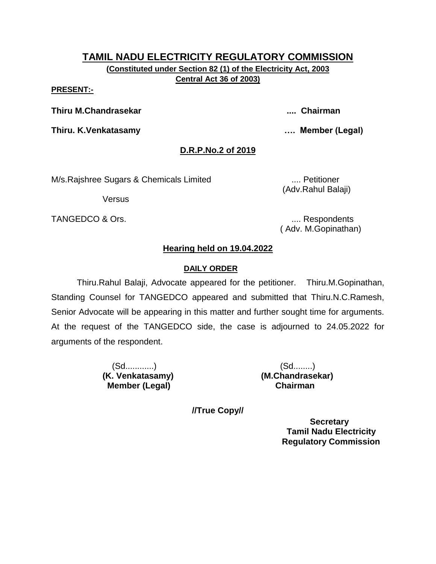# **TAMIL NADU ELECTRICITY REGULATORY COMMISSION (Constituted under Section 82 (1) of the Electricity Act, 2003**

**Central Act 36 of 2003)**

#### **PRESENT:-**

**Thiru M.Chandrasekar .... Chairman**

**Thiru. K.Venkatasamy …. Member (Legal)**

# **D.R.P.No.2 of 2019**

M/s.Rajshree Sugars & Chemicals Limited .... Petitioner

Versus

TANGEDCO & Ors. **..... 2008** TANGEDCO & Ors.

(Adv.Rahul Balaji)

( Adv. M.Gopinathan)

# **Hearing held on 19.04.2022**

# **DAILY ORDER**

Thiru.Rahul Balaji, Advocate appeared for the petitioner. Thiru.M.Gopinathan, Standing Counsel for TANGEDCO appeared and submitted that Thiru.N.C.Ramesh, Senior Advocate will be appearing in this matter and further sought time for arguments. At the request of the TANGEDCO side, the case is adjourned to 24.05.2022 for arguments of the respondent.

> (Sd............) (Sd........) **Member (Legal)**

**(K. Venkatasamy) (M.Chandrasekar)**

**//True Copy//**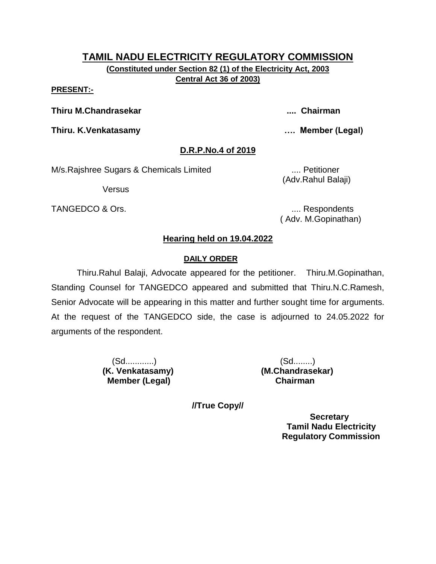**PRESENT:-**

**Thiru M.Chandrasekar .... Chairman**

**Thiru. K.Venkatasamy …. Member (Legal)**

# **D.R.P.No.4 of 2019**

M/s.Rajshree Sugars & Chemicals Limited .... Petitioner

**Versus** 

TANGEDCO & Ors. .... Respondents

(Adv.Rahul Balaji)

( Adv. M.Gopinathan)

# **Hearing held on 19.04.2022**

# **DAILY ORDER**

Thiru.Rahul Balaji, Advocate appeared for the petitioner. Thiru.M.Gopinathan, Standing Counsel for TANGEDCO appeared and submitted that Thiru.N.C.Ramesh, Senior Advocate will be appearing in this matter and further sought time for arguments. At the request of the TANGEDCO side, the case is adjourned to 24.05.2022 for arguments of the respondent.

> (Sd............) (Sd........) **(K. Venkatasamy) (M.Chandrasekar) Member (Legal) Chairman**

**//True Copy//**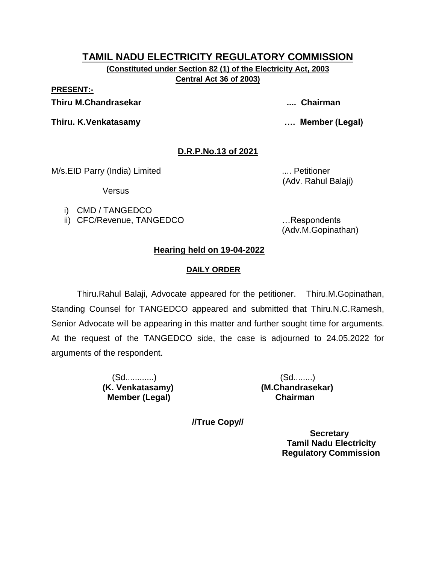**(Constituted under Section 82 (1) of the Electricity Act, 2003 Central Act 36 of 2003)**

**PRESENT:-**

**Thiru M.Chandrasekar .... Chairman**

**Thiru. K.Venkatasamy …. Member (Legal)**

# **D.R.P.No.13 of 2021**

M/s.EID Parry (India) Limited .... Petitioner

Versus

i) CMD / TANGEDCO

ii) CFC/Revenue, TANGEDCO …Respondents

(Adv. Rahul Balaji)

(Adv.M.Gopinathan)

# **Hearing held on 19-04-2022**

# **DAILY ORDER**

Thiru.Rahul Balaji, Advocate appeared for the petitioner. Thiru.M.Gopinathan, Standing Counsel for TANGEDCO appeared and submitted that Thiru.N.C.Ramesh, Senior Advocate will be appearing in this matter and further sought time for arguments. At the request of the TANGEDCO side, the case is adjourned to 24.05.2022 for arguments of the respondent.

> (Sd............) (Sd........)  **Member (Legal) Chairman**

**(K. Venkatasamy) (M.Chandrasekar)**

**//True Copy//**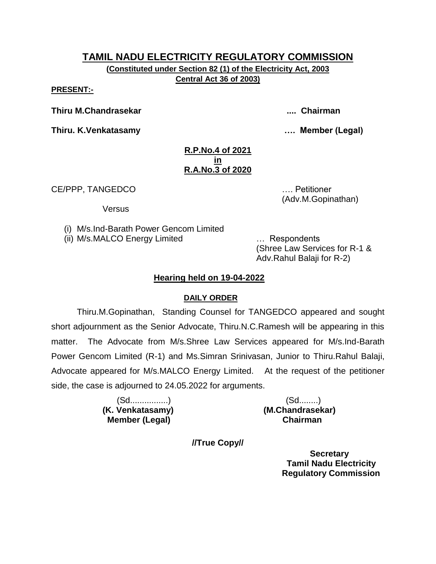**(Constituted under Section 82 (1) of the Electricity Act, 2003 Central Act 36 of 2003)**

**PRESENT:-**

**Thiru M.Chandrasekar .... Chairman**

**Thiru. K.Venkatasamy …. Member (Legal)**

## **R.P.No.4 of 2021 in R.A.No.3 of 2020**

CE/PPP, TANGEDCO …. Petitioner

**Versus** 

(i) M/s.Ind-Barath Power Gencom Limited

(ii) M/s.MALCO Energy Limited … Respondents

(Shree Law Services for R-1 & Adv.Rahul Balaji for R-2)

(Adv.M.Gopinathan)

# **Hearing held on 19-04-2022**

# **DAILY ORDER**

Thiru.M.Gopinathan, Standing Counsel for TANGEDCO appeared and sought short adjournment as the Senior Advocate, Thiru.N.C.Ramesh will be appearing in this matter. The Advocate from M/s.Shree Law Services appeared for M/s.Ind-Barath Power Gencom Limited (R-1) and Ms.Simran Srinivasan, Junior to Thiru.Rahul Balaji, Advocate appeared for M/s.MALCO Energy Limited. At the request of the petitioner side, the case is adjourned to 24.05.2022 for arguments.

 **Member (Legal) Chairman**

 (Sd................) (Sd........) **(K. Venkatasamy) (M.Chandrasekar)**

**//True Copy//**